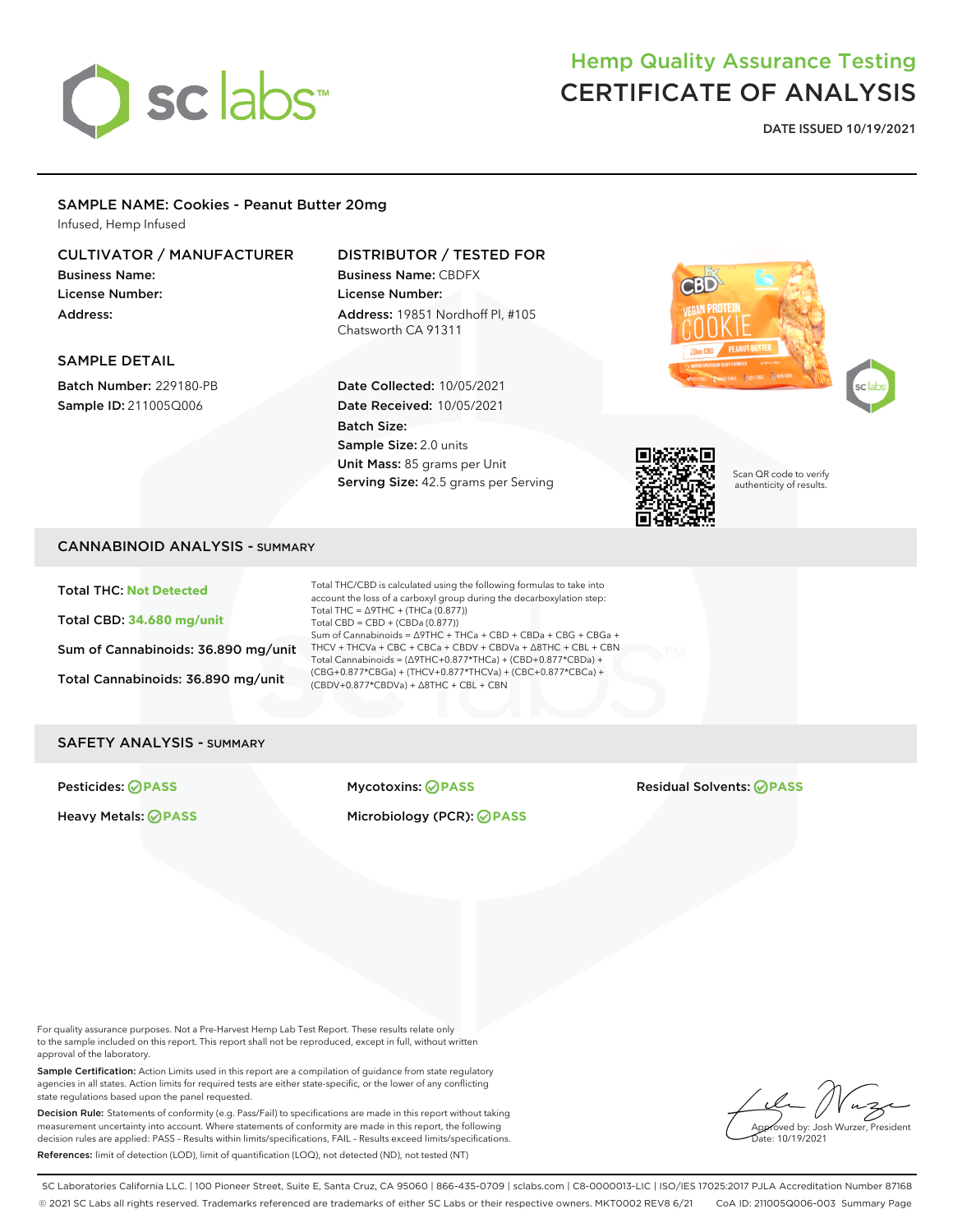

## Hemp Quality Assurance Testing CERTIFICATE OF ANALYSIS

DATE ISSUED 10/19/2021

#### SAMPLE NAME: Cookies - Peanut Butter 20mg

Infused, Hemp Infused

#### CULTIVATOR / MANUFACTURER

Business Name: License Number: Address:

#### DISTRIBUTOR / TESTED FOR

Business Name: CBDFX License Number: Address: 19851 Nordhoff Pl, #105 Chatsworth CA 91311

#### SAMPLE DETAIL

Batch Number: 229180-PB Sample ID: 211005Q006

Date Collected: 10/05/2021 Date Received: 10/05/2021 Batch Size: Sample Size: 2.0 units Unit Mass: 85 grams per Unit Serving Size: 42.5 grams per Serving







Scan QR code to verify authenticity of results.

#### CANNABINOID ANALYSIS - SUMMARY

Total THC: **Not Detected**

Total CBD: **34.680 mg/unit**

Sum of Cannabinoids: 36.890 mg/unit

Total Cannabinoids: 36.890 mg/unit

Total THC/CBD is calculated using the following formulas to take into account the loss of a carboxyl group during the decarboxylation step: Total THC =  $\triangle$ 9THC + (THCa (0.877)) Total CBD = CBD + (CBDa (0.877)) Sum of Cannabinoids = ∆9THC + THCa + CBD + CBDa + CBG + CBGa + THCV + THCVa + CBC + CBCa + CBDV + CBDVa + ∆8THC + CBL + CBN Total Cannabinoids = (∆9THC+0.877\*THCa) + (CBD+0.877\*CBDa) + (CBG+0.877\*CBGa) + (THCV+0.877\*THCVa) + (CBC+0.877\*CBCa) + (CBDV+0.877\*CBDVa) + ∆8THC + CBL + CBN

#### SAFETY ANALYSIS - SUMMARY

#### Heavy Metals: **PASS** Microbiology (PCR): **PASS**

Pesticides: **PASS** Mycotoxins: **PASS** Residual Solvents: **PASS**

For quality assurance purposes. Not a Pre-Harvest Hemp Lab Test Report. These results relate only to the sample included on this report. This report shall not be reproduced, except in full, without written approval of the laboratory.

Sample Certification: Action Limits used in this report are a compilation of guidance from state regulatory agencies in all states. Action limits for required tests are either state-specific, or the lower of any conflicting state regulations based upon the panel requested.

Decision Rule: Statements of conformity (e.g. Pass/Fail) to specifications are made in this report without taking measurement uncertainty into account. Where statements of conformity are made in this report, the following decision rules are applied: PASS – Results within limits/specifications, FAIL – Results exceed limits/specifications. References: limit of detection (LOD), limit of quantification (LOQ), not detected (ND), not tested (NT)

Approved by: Josh Wurzer, President  $\frac{1}{2}$ ite: 10/19/2021

SC Laboratories California LLC. | 100 Pioneer Street, Suite E, Santa Cruz, CA 95060 | 866-435-0709 | sclabs.com | C8-0000013-LIC | ISO/IES 17025:2017 PJLA Accreditation Number 87168 © 2021 SC Labs all rights reserved. Trademarks referenced are trademarks of either SC Labs or their respective owners. MKT0002 REV8 6/21 CoA ID: 211005Q006-003 Summary Page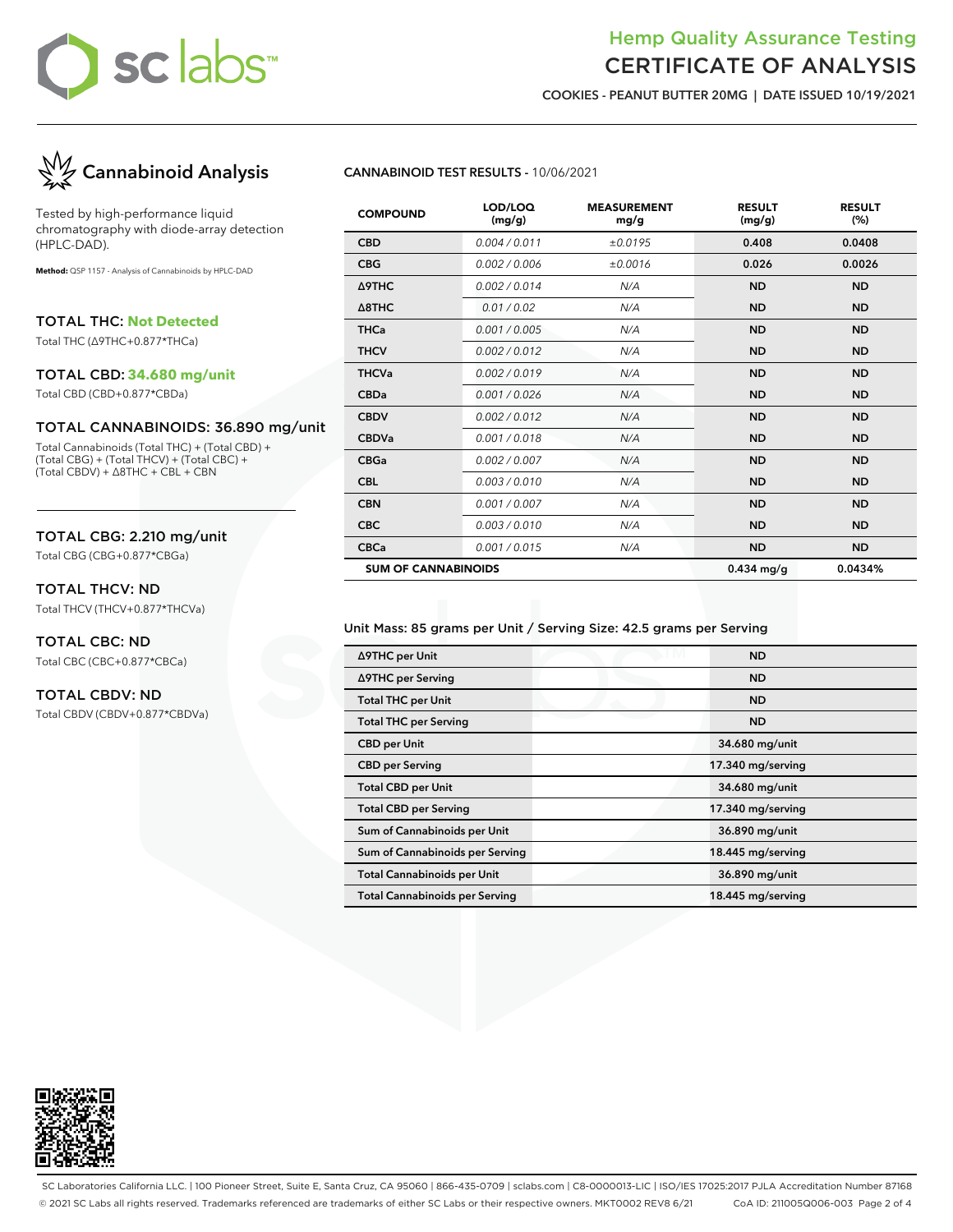

### Hemp Quality Assurance Testing CERTIFICATE OF ANALYSIS

COOKIES - PEANUT BUTTER 20MG | DATE ISSUED 10/19/2021



Tested by high-performance liquid chromatography with diode-array detection (HPLC-DAD).

**Method:** QSP 1157 - Analysis of Cannabinoids by HPLC-DAD

TOTAL THC: **Not Detected**

Total THC (∆9THC+0.877\*THCa)

#### TOTAL CBD: **34.680 mg/unit**

Total CBD (CBD+0.877\*CBDa)

#### TOTAL CANNABINOIDS: 36.890 mg/unit

Total Cannabinoids (Total THC) + (Total CBD) + (Total CBG) + (Total THCV) + (Total CBC) + (Total CBDV) + ∆8THC + CBL + CBN

#### TOTAL CBG: 2.210 mg/unit

Total CBG (CBG+0.877\*CBGa)

#### TOTAL THCV: ND

Total THCV (THCV+0.877\*THCVa)

## TOTAL CBC: ND

Total CBC (CBC+0.877\*CBCa)

#### TOTAL CBDV: ND

Total CBDV (CBDV+0.877\*CBDVa)

#### CANNABINOID TEST RESULTS - 10/06/2021

| <b>COMPOUND</b>            | LOD/LOQ<br>(mg/g) | <b>MEASUREMENT</b><br>mg/g | <b>RESULT</b><br>(mg/g) | <b>RESULT</b><br>(%) |
|----------------------------|-------------------|----------------------------|-------------------------|----------------------|
| <b>CBD</b>                 | 0.004 / 0.011     | ±0.0195                    | 0.408                   | 0.0408               |
| <b>CBG</b>                 | 0.002 / 0.006     | ±0.0016                    | 0.026                   | 0.0026               |
| Δ9THC                      | 0.002 / 0.014     | N/A                        | <b>ND</b>               | <b>ND</b>            |
| $\triangle$ 8THC           | 0.01 / 0.02       | N/A                        | <b>ND</b>               | <b>ND</b>            |
| <b>THCa</b>                | 0.001 / 0.005     | N/A                        | <b>ND</b>               | <b>ND</b>            |
| <b>THCV</b>                | 0.002 / 0.012     | N/A                        | <b>ND</b>               | <b>ND</b>            |
| <b>THCVa</b>               | 0.002 / 0.019     | N/A                        | <b>ND</b>               | <b>ND</b>            |
| <b>CBDa</b>                | 0.001/0.026       | N/A                        | <b>ND</b>               | <b>ND</b>            |
| <b>CBDV</b>                | 0.002 / 0.012     | N/A                        | <b>ND</b>               | <b>ND</b>            |
| <b>CBDVa</b>               | 0.001/0.018       | N/A                        | <b>ND</b>               | <b>ND</b>            |
| <b>CBGa</b>                | 0.002 / 0.007     | N/A                        | <b>ND</b>               | <b>ND</b>            |
| <b>CBL</b>                 | 0.003/0.010       | N/A                        | <b>ND</b>               | <b>ND</b>            |
| <b>CBN</b>                 | 0.001 / 0.007     | N/A                        | <b>ND</b>               | <b>ND</b>            |
| <b>CBC</b>                 | 0.003 / 0.010     | N/A                        | <b>ND</b>               | <b>ND</b>            |
| <b>CBCa</b>                | 0.001 / 0.015     | N/A                        | <b>ND</b>               | <b>ND</b>            |
| <b>SUM OF CANNABINOIDS</b> |                   |                            | $0.434$ mg/g            | 0.0434%              |

#### Unit Mass: 85 grams per Unit / Serving Size: 42.5 grams per Serving

| ∆9THC per Unit                        | <b>ND</b>         |
|---------------------------------------|-------------------|
| ∆9THC per Serving                     | <b>ND</b>         |
| <b>Total THC per Unit</b>             | <b>ND</b>         |
| <b>Total THC per Serving</b>          | <b>ND</b>         |
| <b>CBD</b> per Unit                   | 34.680 mg/unit    |
| <b>CBD per Serving</b>                | 17.340 mg/serving |
| <b>Total CBD per Unit</b>             | 34.680 mg/unit    |
| <b>Total CBD per Serving</b>          | 17.340 mg/serving |
| Sum of Cannabinoids per Unit          | 36.890 mg/unit    |
| Sum of Cannabinoids per Serving       | 18.445 mg/serving |
| <b>Total Cannabinoids per Unit</b>    | 36.890 mg/unit    |
| <b>Total Cannabinoids per Serving</b> | 18.445 mg/serving |



SC Laboratories California LLC. | 100 Pioneer Street, Suite E, Santa Cruz, CA 95060 | 866-435-0709 | sclabs.com | C8-0000013-LIC | ISO/IES 17025:2017 PJLA Accreditation Number 87168 © 2021 SC Labs all rights reserved. Trademarks referenced are trademarks of either SC Labs or their respective owners. MKT0002 REV8 6/21 CoA ID: 211005Q006-003 Page 2 of 4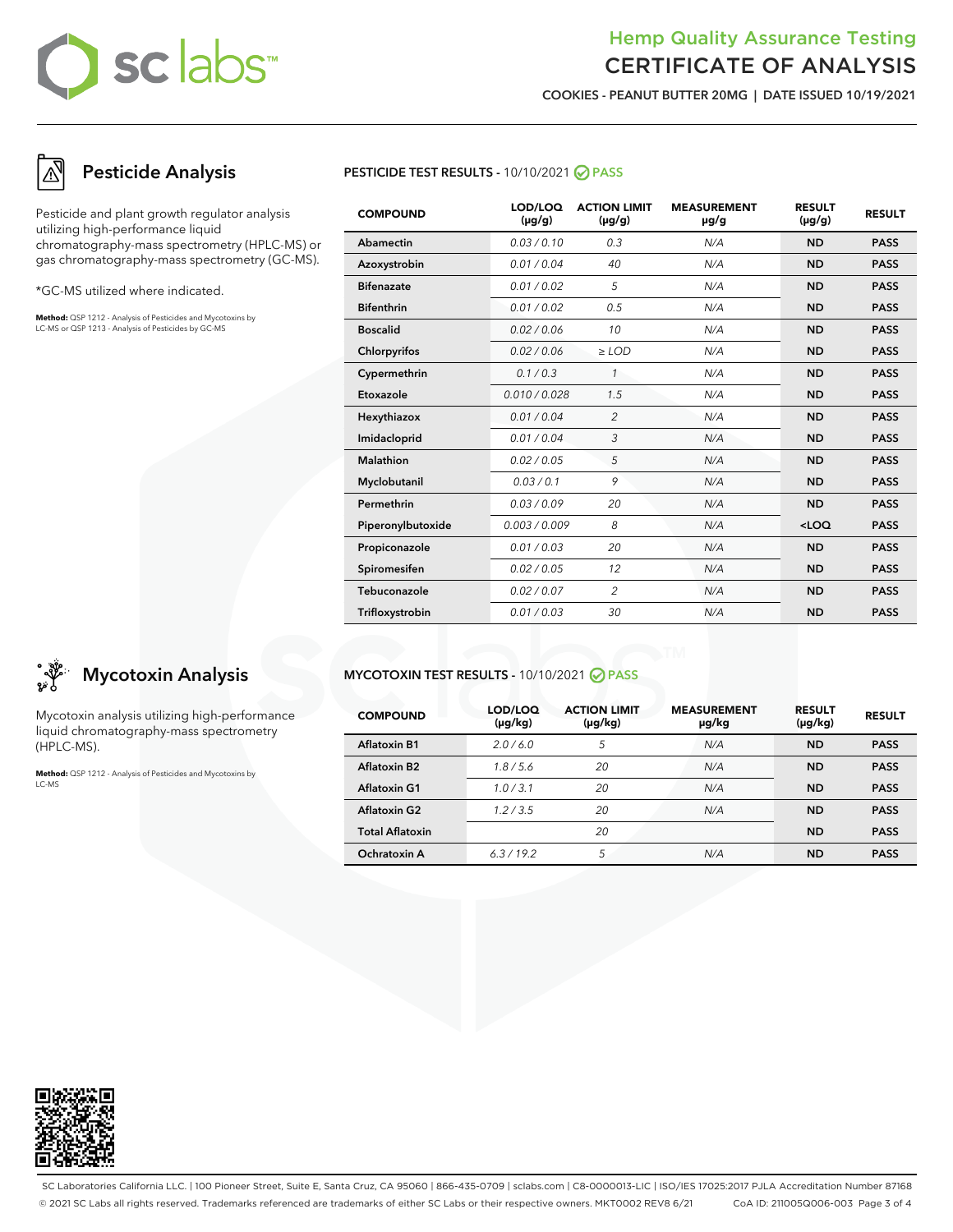## sclabs™

## Hemp Quality Assurance Testing CERTIFICATE OF ANALYSIS

COOKIES - PEANUT BUTTER 20MG | DATE ISSUED 10/19/2021

## Pesticide Analysis

Pesticide and plant growth regulator analysis utilizing high-performance liquid chromatography-mass spectrometry (HPLC-MS) or gas chromatography-mass spectrometry (GC-MS).

\*GC-MS utilized where indicated.

**Method:** QSP 1212 - Analysis of Pesticides and Mycotoxins by LC-MS or QSP 1213 - Analysis of Pesticides by GC-MS



| <b>COMPOUND</b>   | LOD/LOQ<br>$(\mu g/g)$ | <b>ACTION LIMIT</b><br>$(\mu g/g)$ | <b>MEASUREMENT</b><br>µg/g | <b>RESULT</b><br>$(\mu g/g)$ | <b>RESULT</b> |
|-------------------|------------------------|------------------------------------|----------------------------|------------------------------|---------------|
| Abamectin         | 0.03/0.10              | 0.3                                | N/A                        | <b>ND</b>                    | <b>PASS</b>   |
| Azoxystrobin      | 0.01 / 0.04            | 40                                 | N/A                        | <b>ND</b>                    | <b>PASS</b>   |
| <b>Bifenazate</b> | 0.01 / 0.02            | 5                                  | N/A                        | <b>ND</b>                    | <b>PASS</b>   |
| <b>Bifenthrin</b> | 0.01 / 0.02            | 0.5                                | N/A                        | <b>ND</b>                    | <b>PASS</b>   |
| <b>Boscalid</b>   | 0.02/0.06              | 10                                 | N/A                        | <b>ND</b>                    | <b>PASS</b>   |
| Chlorpyrifos      | 0.02 / 0.06            | $\ge$ LOD                          | N/A                        | <b>ND</b>                    | <b>PASS</b>   |
| Cypermethrin      | 0.1 / 0.3              | $\mathbf{1}$                       | N/A                        | <b>ND</b>                    | <b>PASS</b>   |
| Etoxazole         | 0.010 / 0.028          | 1.5                                | N/A                        | <b>ND</b>                    | <b>PASS</b>   |
| Hexythiazox       | 0.01 / 0.04            | $\overline{2}$                     | N/A                        | <b>ND</b>                    | <b>PASS</b>   |
| Imidacloprid      | 0.01 / 0.04            | 3                                  | N/A                        | <b>ND</b>                    | <b>PASS</b>   |
| <b>Malathion</b>  | 0.02 / 0.05            | 5                                  | N/A                        | <b>ND</b>                    | <b>PASS</b>   |
| Myclobutanil      | 0.03/0.1               | 9                                  | N/A                        | <b>ND</b>                    | <b>PASS</b>   |
| Permethrin        | 0.03 / 0.09            | 20                                 | N/A                        | <b>ND</b>                    | <b>PASS</b>   |
| Piperonylbutoxide | 0.003/0.009            | 8                                  | N/A                        | $<$ LOQ                      | <b>PASS</b>   |
| Propiconazole     | 0.01 / 0.03            | 20                                 | N/A                        | <b>ND</b>                    | <b>PASS</b>   |
| Spiromesifen      | 0.02 / 0.05            | 12                                 | N/A                        | <b>ND</b>                    | <b>PASS</b>   |
| Tebuconazole      | 0.02 / 0.07            | $\mathfrak{D}$                     | N/A                        | <b>ND</b>                    | <b>PASS</b>   |
| Trifloxystrobin   | 0.01 / 0.03            | 30                                 | N/A                        | <b>ND</b>                    | <b>PASS</b>   |

#### MYCOTOXIN TEST RESULTS - 10/10/2021 ⊘ PASS

| <b>COMPOUND</b>        | LOD/LOQ<br>$(\mu g/kg)$ | <b>ACTION LIMIT</b><br>$(\mu g/kg)$ | <b>MEASUREMENT</b><br>µg/kg | <b>RESULT</b><br>$(\mu g/kg)$ | <b>RESULT</b> |
|------------------------|-------------------------|-------------------------------------|-----------------------------|-------------------------------|---------------|
| <b>Aflatoxin B1</b>    | 2.0/6.0                 | 5                                   | N/A                         | <b>ND</b>                     | <b>PASS</b>   |
| <b>Aflatoxin B2</b>    | 1.8/5.6                 | 20                                  | N/A                         | <b>ND</b>                     | <b>PASS</b>   |
| <b>Aflatoxin G1</b>    | 1.0/3.1                 | 20                                  | N/A                         | <b>ND</b>                     | <b>PASS</b>   |
| Aflatoxin G2           | 1.2/3.5                 | 20                                  | N/A                         | <b>ND</b>                     | <b>PASS</b>   |
| <b>Total Aflatoxin</b> |                         | 20                                  |                             | <b>ND</b>                     | <b>PASS</b>   |
| Ochratoxin A           | 6.3/19.2                | 5                                   | N/A                         | <b>ND</b>                     | <b>PASS</b>   |



Mycotoxin analysis utilizing high-performance liquid chromatography-mass spectrometry (HPLC-MS).

**Method:** QSP 1212 - Analysis of Pesticides and Mycotoxins by LC-MS



SC Laboratories California LLC. | 100 Pioneer Street, Suite E, Santa Cruz, CA 95060 | 866-435-0709 | sclabs.com | C8-0000013-LIC | ISO/IES 17025:2017 PJLA Accreditation Number 87168 © 2021 SC Labs all rights reserved. Trademarks referenced are trademarks of either SC Labs or their respective owners. MKT0002 REV8 6/21 CoA ID: 211005Q006-003 Page 3 of 4